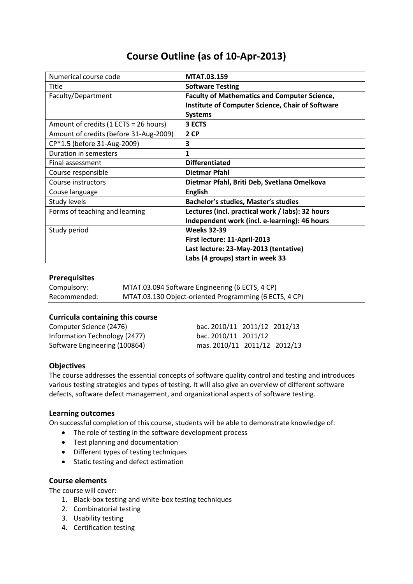# **Course Outline (as of 10-Apr-2013)**

| Numerical course code                  | MTAT.03.159                                             |  |  |  |
|----------------------------------------|---------------------------------------------------------|--|--|--|
| Title                                  | <b>Software Testing</b>                                 |  |  |  |
| Faculty/Department                     | <b>Faculty of Mathematics and Computer Science,</b>     |  |  |  |
|                                        | <b>Institute of Computer Science, Chair of Software</b> |  |  |  |
|                                        | <b>Systems</b>                                          |  |  |  |
| Amount of credits (1 ECTS = 26 hours)  | 3 ECTS                                                  |  |  |  |
| Amount of credits (before 31-Aug-2009) | 2 CP                                                    |  |  |  |
| CP*1.5 (before 31-Aug-2009)            | 3                                                       |  |  |  |
| Duration in semesters                  | 1                                                       |  |  |  |
| Final assessment                       | <b>Differentiated</b>                                   |  |  |  |
| Course responsible                     | Dietmar Pfahl                                           |  |  |  |
| Course instructors                     | Dietmar Pfahl, Briti Deb, Svetlana Omelkova             |  |  |  |
| Couse language                         | <b>English</b>                                          |  |  |  |
| Study levels                           | <b>Bachelor's studies, Master's studies</b>             |  |  |  |
| Forms of teaching and learning         | Lectures (incl. practical work / labs): 32 hours        |  |  |  |
|                                        | Independent work (incl. e-learning): 46 hours           |  |  |  |
| Study period                           | <b>Weeks 32-39</b>                                      |  |  |  |
|                                        | First lecture: 11-April-2013                            |  |  |  |
|                                        | Last lecture: 23-May-2013 (tentative)                   |  |  |  |
|                                        | Labs (4 groups) start in week 33                        |  |  |  |

# **Prerequisites**

| Compulsory:  | MTAT.03.094 Software Engineering (6 ECTS, 4 CP)        |
|--------------|--------------------------------------------------------|
| Recommended: | MTAT.03.130 Object-oriented Programming (6 ECTS, 4 CP) |

#### **Curricula containing this course**

| Computer Science (2476)       | bac. 2010/11 2011/12 2012/13 |  |
|-------------------------------|------------------------------|--|
| Information Technology (2477) | bac. 2010/11 2011/12         |  |
| Software Engineering (100864) | mas. 2010/11 2011/12 2012/13 |  |

# **Objectives**

The course addresses the essential concepts of software quality control and testing and introduces various testing strategies and types of testing. It will also give an overview of different software defects, software defect management, and organizational aspects of software testing.

## **Learning outcomes**

On successful completion of this course, students will be able to demonstrate knowledge of:

- The role of testing in the software development process
- Test planning and documentation
- Different types of testing techniques
- Static testing and defect estimation

#### **Course elements**

The course will cover:

- 1. Black-box testing and white-box testing techniques
- 2. Combinatorial testing
- 3. Usability testing
- 4. Certification testing